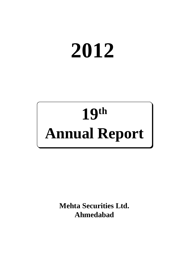# **2012**

# **19th Annual Report**

**Mehta Securities Ltd. Ahmedabad**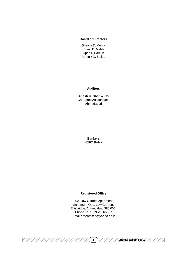#### **Board of Directors**

Bhavna D. Mehta Chirag D. Mehta Upen P. Parekh Ramnik D. Sojitra

**Auditors**

**Dinesh K. Shah & Co.** Chartered Accountants Ahmedabad

> **Bankers** HDFC BANK

# **Registered Office**

002, Law Garden Apartment, Scheme-I, Opp. Law Garden, Ellisbridge, Ahmedabad 380 006. Phone no. : 079-26565567 E-mail : mehtasec@yahoo.co.in

| 20X<br>'Kénart<br>AЛ.    |
|--------------------------|
| $\overline{\phantom{a}}$ |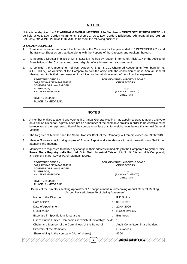#### **NOTICE**

Notice is hereby given that **19th ANNUAL GENERAL MEETING** of the Members of **MEHTA SECURITIES LIMITED** will be held at 002, Law Garden Apartments, Scheme-1, Opp. Law Garden, Ellisbridge, Ahmedabad-380 006 on Saturday**, 29th JUNE, 2013** at **11.00 A.M.** to transact the following business:

#### **ORDINARY BUSINESS: -**

- 1. To receive, consider and adopt the Accounts of the Company for the year ended 31<sup>st</sup> DECEMBER 2012 and the Balance Sheet as on that date along with the Reports of the Directors and Auditors thereon.
- 2. To appoint a Director in place of Mr. R D.Sojitra retires by rotation in terms of Article 127 of the Articles of Association of the Company and being eligible, offers himself for reappointment.
- 3. To consider the reappointment of M/s. Dinesh K. Shah & Co., Chartered Accountants (Membership no. # F- 010477), as Auditors of the Company to hold the office until the conclusion of next Annual General Meeting and to fix their remuneration in addition to the reimbursement of out of pocket expenses.

002, LAW GARDEN APARTMENT, THE RESERVE OF DIRECTORS SCHEME-I, OPP. LAW GARDEN, ELLISBRIDGE, sd/-

DATE: 29/04/2013 PLACE : AHMEDABAD.

REGISTERED OFFICE :- FOR AND ON BEHALF OF THE BOARD

(BHAVNA D. MEHTA) DIRECTOR

#### **NOTES**

- 1. A member entitled to attend and vote at this Annual General Meeting may appoint a proxy to attend and vote on a poll on his behalf. A proxy need not be a member of the company; proxies in order to be effective must be received at the registered office of the company not less than forty-eight hours before this Annual General Meeting.
- 2. The Register of Member and the Share Transfer Book of the Company will remain closed on 29/06/2013.
- 3. Member/Proxies should bring copies of Annual Report and attendance slip sent herewith, duly filed in for attending the meeting.
- 4. Members are requested to notify any change in their address immediately to the Company's Registrar Office **Purva Share Registry India Pvt. Ltd.** Shiv Shakti Industrial Estate, Unit No: 9, Sitaram Mills Compound, J.R.Boricha Marg, Lower Parel, Mumbai-400011.

REGISTERED OFFICE :- FOR AND ON BEHALF OF THE BOARD 002. LAW GARDEN APARTMENT. THE CONSTRUCTOR SECTORS OF DIRECTORS SCHEME-LOPP. LAW GARDEN ELLISBRIDGE, sd/- AHMEDABAD-380 006.

DATE: 29/04/2013 PLACE : AHMEDABAD.

DIRECTOR

Details of the Directors seeking Appointment / Reappointment in forthcoming Annual General Meeting (As per Revised clause 49 of Listing Agreement)

| Name of the Directors                                         |    | R.D.Sojitra                     |
|---------------------------------------------------------------|----|---------------------------------|
| Date of Birth                                                 |    | 01/10/1961                      |
| Date of Appointment                                           |    | 20/04/2006                      |
| Qualification                                                 |    | <b>B.Com Inter CA</b>           |
| Expertise in Specific functional areas                        |    | <b>Business</b>                 |
| List of Public Limited Companies in which Directorships held: |    | -1                              |
| Chairman / Member of the Committees of the Board of           | ÷. | Audit Committee, Share-holders, |
| Directors of the Company.                                     |    | Grievances                      |
| Shareholding in the company (No. of shares)                   |    | 4300                            |
|                                                               |    |                                 |

2 **12345 12345 12345 12345 12345 12345 12345 12345 12345 12345 12345 12345 12345 12345 12345 12345 1234 1234**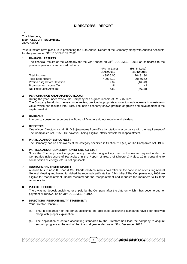# **DIRECTOR'S REPORT**

#### To, The Members, **MEHTA SECURITIES LIMITED,** Ahmedabad.

Your Directors have pleasure in presenting the 19th Annual Report of the Company along with Audited Accounts for the year ended 31<sup>ST</sup> DECEMBER 2012.

#### **1. FINANCIAL RESULTS :**

The financial results of the Company for the year ended on  $31<sup>ST</sup>$  DECEMBER 2012 as compared to the previous year are summarized below :-

|                               | (Rs. In Lacs) | (Rs. In Lacs) |
|-------------------------------|---------------|---------------|
|                               | 31/12/2012    | 31/12/2011    |
| Total Income                  | 49926.00      | 20481.30      |
| <b>Total Expenditure</b>      | 49918.19      | 20566.62      |
| Profit/(Loss) before Taxation | 7.82          | (46.98)       |
| Provision for Income Tax      | Nil           | Nil           |
| Net Profit/Loss After Tax     | 7.82          | (46.98)       |

#### **2. PERFORMANCE AND FUTURE OUTLOOK :**

During the year under review, the Company has a gross income of Rs. 7.82 lacs. The Company has during the year under review, provided appropriate amount towards increase in investments value, which has resulted into Profit. The indian economy shows promise of growth and development in the capital market.

#### **3. DIVIDEND :**

In order to conserve resources the Board of Directors do not recommend dividend .

#### **4. DIRECTOR :**

One of your Directors viz. Mr. R. D.Sojitra retires from office by rotation in accordance with the requirement of The Companies Act, 1956. He however, being eligible, offers himself for reappointment.

#### **5. PARTICULARS OF EMPLOYEES :**

The Company has no employees of the category specified in Section 217 (2A) of The Companies Act, 1956.

#### **6. PARTICULARS OF CONSERVATION OF ENERGY ETC :**

Since the Company is not engaged in any manufacturing activity, the disclosures as required under the Companies (Disclosure of Particulars in the Report of Board of Directors) Rules, 1988 pertaining to conservation of energy, etc. is not applicable.

#### **7. AUDITORS AND THEIR REPORT :**

Auditors M/s. Dinesh K. Shah & Co., Chartered Accountants hold office till the conclusion of ensuing Annual General Meeting and having furnished the required certificate U/s. 224 (1-B) of The Companies Act, 1956 are eligible for reappointment. Board recommends the reappointment and requests the members to fix their remuneration.

#### **8. PUBLIC DEPOSITS :**

There was no deposit unclaimed or unpaid by the Company after the date on which it has become due for payment or renewal as on 31<sup>st</sup> DECEMBER 2012.

#### **9. DIRECTORS' RESPONSIBILITY STATEMENT :**

Your Director Confirm:-

- (a) That in preparation of the annual accounts, the applicable accounting standards have been followed along with proper explanation.
- (b) The application of certain accounting standards by the Directors has lead the company to acquire smooth progress at the end of the financial year ended as on 31st December 2012.

|--|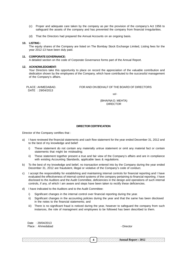- (c) Proper and adequate care taken by the company as per the provision of the company's Act 1956 to safeguard the assets of the company and has prevented the company from financial irregularities.
- (d) That the Directors had prepared the Annual Accounts on an ongoing basis.

#### **10. LISTING :**

The equity shares of the Company are listed on The Bombay Stock Exchange Limited, Listing fees for the year 2012-13 have been duly paid.

#### **11. CORPORATE GOVERNANCE:**

A detailed section on the code of Corporate Governance forms part of the Annual Report.

#### **12. ACKNOWLEDGMENT:**

Your Directors take this opportunity to place on record the appreciation of the valuable contribution and dedication shown by the employees of the Company, which have contributed to the successful management of the Company's affairs.

DATE : 29/04/2013

PLACE : AHMEDABAD. FOR AND ON BEHALF OF THE BOARD OF DIRECTORS

sd/-

 (BHAVNA D. MEHTA) DIRECTOR

#### **DIRECTOR CERTIFICATION**

Director of the Company certifies that :

- a) I have reviewed the financial statements and cash flow statement for the year ended December 31, 2012 and to the best of my knowledge and belief:
	- i) These statement do not contain any materially untrue statement or omit any material fact or contain statements that might be misleading;
	- ii) These statement together present a true and fair view of the Company's affairs and are in compliance with existing Accounting Standards, applicable laws & regulations.
- b) To the best of my knowledge and belief, no transaction entered into by the Company during the year ended December 31, 2012 are fraudulent, illegal or violative of the Company's code of conduct.
- c) I accept the responsibility for establishing and maintaining internal controls for financial reporting and I have evaluated the effectiveness of internal control systems of the company pertaining to financial reporting. I have disclosed to the Auditors and the Audit Committee, deficiencies in the design and operations of such internal controls, if any, of which I am aware and steps have been taken to rectify these deficiencies.
- d) I have indicated to the Auditors and to the Audit Committee:
	- i) Significant changes in the internal control over financial reporting during the year.
	- ii) Significant changes in the accounting policies during the year and that the same has been disclosed in the notes to the financial statements; and
	- iii) There is no significant fraud is noticed during the year, however to safeguard the company from such instances, the role of managment and employees to be followed has been described to them.

 Date : 29/04/2013 Place : Ahmedabad - Director - Director - Director - Director - Director

|--|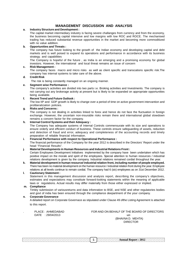# **MANAGEMENT DISCUSSION AND ANALYSIS**

#### **a. Industry Structure and Development :**

The capital market intermediary industry is facing severe challanges from currency and from the economy, the business becoming capital intensive and low margins with low ROC and ROCE. The mechanised trading has reduced substantial revenue opportunities in the market and becoming more commoditized with no value addition.

#### **b. Opportunities and Threats :**

The company has future looking to the growth of the Indian economy and developing capital and debt markets and is well poised to expand its operations and performance in accordance with its business strategy. and capabilities

The Company is hopeful of the future , as India is an emerging and a promising economy for global investors. However, the international and local threat remains an issue of concern

#### **c. Risk Management :**

The company faces macro and micro risks as well as client specific and transcations specific risk.The company has internal systems to take care of the above.

### **d. Credit Risk**

The risk is being constantly managed on an ongoing manner.

#### **e. Segment wise Performance :**

The company's activities are divided into two parts i.e. Broking activities and Investments. The company is not carrying out any brokerage activity at present but is likely to be expanded on appropriate opportunities being avaliable.

#### **f. Recent Trend and Future Outlook :**

The low IIP and GDP growth is likely to change over a period of time on active government intervantion and proliberalization policies.

#### **g. Risks and Concerns :**

The company is not dealing in activities linked to forex and hence do not face the fluctuation in foreign exchange. However, the uncertain non-insurable risks remain there and international global slowdown remains a concern factor for the company.

#### **h. Internal Control Systems and their Adequacy :**

The Company has adequate systems of Internal Controls commensurate with its size and operations to ensure orderly and efficient conduct of business. These controls ensure safeguarding of assets, reduction and detection of fraud and error, adequacy and completeness of the accounting records and timely preparation of reliable financial information.

#### **i. Financial Performance with respect to Operational Performance :**

The financial performance of the Company for the year 2012 is described in the Directors' Report under the head "Financial Results".

#### **j. Material Developments in Human Resources and Industrial Relations Front :**

Certain Employees Development Initiatives implemented by the company have been undertaken which has positive impact on the morale and spirit of the employees. Special attention to human resources / industrial relations development is given by the company. Industrial relations remained cordial throughout the year.

**k. Material development in human resource/ industrial relation front, including number of people employed.** There has been no material development on the human resource / industrial relation front during the year. Employee relations at all levels continue to remain cordial. The company had 6 (six) employees as on 31st December 2012.

#### **l. Cautionary Statement :**

Statement in this management discussion and analysis report, describing the company's objectives, estimates and expectations may constitute forward-looking statements within the meaning of applicable laws or regulations. Actual results may differ materially from those either expressed or implied.

## **m. Compliance**

Timley submission of variousreturns and data infomration to BSE, and NSE and other regulatories bodies and govt of india has been ensured through the compliance deepartment of the your company.

#### **n. Corporate Goverance**

A detailed report on Corporate Governace as stipulated under Clause 49 ofthe Listing Agreement is attached to this report.

PLACE : AHMEDABAD FOR AND ON BEHALF OF THE BOARD OF DIRECTORS DATE : 29/04/2013 (BHAVNA D. MEHTA) DIRECTOR

| $\overline{\phantom{0}}$<br>20. |
|---------------------------------|
|---------------------------------|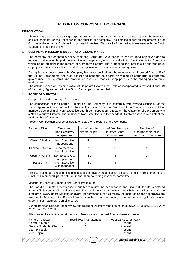# **REPORT ON CORPORATE GOVERNANCE**

#### **INTRODUCTION :**

There is a great impact of strong Corporate Governance for strong and stable partnership with the Investors and stakeholders for their confidence and trust in our company. The detailed report on implementation of Corporate Governance Code as incorporated in revised Clause 49 of the Listing Agreement with the Stock Exchanges is set out below: -

#### **1. COMPANY'S PHILOSOPHY ON CORPORATE GOVERNANCE :**

The company has adopted a policy of strong Corporate Governance to ensure good objectives and to measure and monitor the performance of level transparency & accountability in the functioning of the Company which helps efficient management of Company's affairs and protecting the interests of shareholders, employees, lenders, clients etc. and also emphasis on compliance of statutory laws.

During the year under review, the Company has fully complied with the requirements of revised Clause 49 of the Listing Agreements and also assures to continue its efforts by raising its standards in corporate governance. The systems and procedures are such that will keep pace with the changing economic environments.

The detailed report on implementation of Corporate Governance Code as incorporated in revised Clause 49 of the Listing Agreement with the Stock Exchanges is set out below.

#### **2. BOARD OF DIRECTOR :**

Composition and Category of Directors:

The composition of the Board of Directors of the Company is in conformity with revised Clause 49 of the Listing Agreement with the Stock Exchange. The present Board of Directors of the Company consists of four members comprising all Non- Executive and three Independent Directors. The Chairman of the Company is a Non-Executive Director. The number of Non-Executive and Independent Directors exceeds one-half of the total number of Directors.

| Name of Director | Executive /<br>Non-Executive/<br>Independent | No of outside<br>directorship(s)<br>$\left( \star \right)$ | No of Memberships<br>in other Board<br>Committees | Number of<br>Chairmanship(s) in<br>other Board Committees |
|------------------|----------------------------------------------|------------------------------------------------------------|---------------------------------------------------|-----------------------------------------------------------|
| Chirag D.Mehta   | Non-Executive<br>Independent                 | <b>NIL</b>                                                 | 3                                                 |                                                           |
| Bhavna D. Mehta  | Chairperson<br>Non-Executive                 |                                                            | 3                                                 |                                                           |
| Upen P. Parekh   | Non-Executive &<br>Independent               | <b>NIL</b>                                                 | 3                                                 | 2                                                         |
| R.D.Sojitra      | Non-Executive<br>& independent               | <b>NIL</b>                                                 | 4                                                 |                                                           |

Present Composition and other details of Board of Directors of the Company.

- Excludes alternate directorships, directorships in private/foreign companies and interest in firms/other bodies. - Includes memberships of only audit and shareholders' grievances committee.

Meeting of Board of Directors and Board Procedures:

The Board of Directors meets once a quarter to review the performance and Financial Results. A detailed agenda file is sent to all the directors well in time of the Board Meetings. The Chairman / Director briefs the directors at every Board Meeting on overall performance of the Company. All major decisions / approvals are taken at the Meeting of the Board of Directors such as policy formation, business plans, budgets, investment opportunities, statutory Compliance etc.

During the financial year under review, the Board of Directors met 4 times on 31/01/2012, 30/04/2012, 30/07/ 2012, and 30/10/2012.

Attendance of each Director at the Board Meetings and the Last Annual General Meeting:

| Name of Director          | Board Meetings attended | Attendance at last AGM |  |
|---------------------------|-------------------------|------------------------|--|
| Chirag D. Mehta           |                         | Present                |  |
| Bhavna D. Mehta, Chairman | Δ                       | Present                |  |
| Upen P. Parekh            | 4                       | Present                |  |
| R. D. Sojitra             |                         | Present                |  |
|                           |                         |                        |  |

123456789012345678901234567890121234567890123456789012345678901212345678901234567890123 <sup>123456789012345678901234567890121234567890123456789012345678901212345678901234567890123</sup> **6 Annual Report : 2012**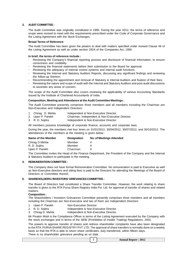#### **3. AUDIT COMMITTEE :**

The Audit Committee was originally constituted in 1995. During the year 2012, the terms of reference and scope were revised to meet with the requirements prescribed under the Code of Corporate Governance and the Listing Agreement with the Stock Exchanges.

#### **Broad Terms of Reference**

The Audit Committee has been given the powers to deal with matters specified under revised Clause 49 of the Listing Agreement as well as under section 292A of the Companies Act, 1956.

#### **In brief, the terms of reference include :**

- Reviewing the Company's financial reporting process and disclosure of financial information, to ensure correctness and credibility.
- Reviewing the financial statements before their submission to the Board for approval;
- Reviewing the adequacy of internal control systems and internal audit functions;
- Reviewing the Internal and Statutory Auditors Reports, discussing any significant findings and reviewing the follow-up thereon;
- Recommending the appointment and removal of Statutory & Internal Auditors and fixation of their fees;
- Reviewing the nature and scope of audit with the Internal and Statutory Auditors and post-audit discussions to ascertain any areas of concern.

The scope of the Audit Committee also covers reviewing the applicability of various Accounting Standards issued by the Institute of Chartered Accountants of India.

#### **Composition, Meeting and Attendance at the Audit Committee Meetings :**

The Audit Committee presently comprises three members and all members including the Chairman are Non-Executive and Independent Directors:

- 1. Chirag D. Mehta Independent & Non-Executive Director.
- 2. Upen P. Parekh Chairman, Independent & Non-Executive Director.
- 3. R. D. Sojitra Independent & Non-Executive Director.

All members possess knowledge of corporate finance, accounts and corporate laws.

During the year, the members met four times on 31/01/2012, 30/04/2012, 30/07/2012, and 30/10/2012. The attendances of the members at the meeting is given below :

| <b>Designation</b> | No. of Meetings Attended |
|--------------------|--------------------------|
| Member             |                          |
| Member             |                          |
| Chairman           |                          |
|                    |                          |

The Committee invites the Head of the Finance Department, the President of the Company and the Internal & Statutory Auditors to participate in the meeting.

#### **4. REMUNERATION COMMITTEE :**

The Company does not have formal Remuneration Committee. No remuneration is paid to Executive as well as Non-Executive directors and sitting fees is paid to the Directors for attending the Meetings of the Board of Directors or Committee thereof.

#### **5. SHAREHOLDERS / INVESTORS' GRIEVANCES COMMITTEE :**

The Board of Directors had constituted a Share Transfer Committee. However, the work relating to share transfer is given to the RTA Purva Share Registry India Pvt. Ltd. for approval of transfer of shares and related matters.

#### **Composition :**

The Shareholders / Investors Grievances Committee presently comprises three members and all members including the Chairman are Non-Executive and two of them are Independent Directors:

- 1. Upen P. Parekh Non-Executive Director<br>2. R. D. Soiitra **Non-Executive Director**
- Independent & Non-Executive Director.
- 3. Chirag D. Mehta Independent & Non-Executive Director.

Mr Pinakin Modi is the Compliance Officer in terms of the Listing Agreement executed by the Company with the stock exchanges and in terms of the SEBI (Prohibition of Insider Trading) Regulations, 2002.

The powers to approve transfer of shares and redress shareholder complaints have also been designated to the RTA PURVA SHARE REGISTRY PVT. LTD. The approval of share transfers is normally done on a weekly basis so that the RTA is able to return share certificates, duly transferred, within fifteen days. There is no shareholder grievance pending as on date.

| The case of the children company of the company of the control of the control of the control of the control of |  |
|----------------------------------------------------------------------------------------------------------------|--|
|                                                                                                                |  |
|                                                                                                                |  |

| $\sim$<br>$\overline{\phantom{0}}$<br>✓ | $\overline{ }$ |
|-----------------------------------------|----------------|
|                                         |                |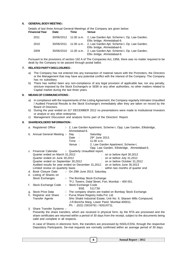#### **6. GENERAL BODY MEETING :**

Details of last three Annual General Meetings of the Company are given below: **Financial Year Date Time Venue**

| I IIIaliulai Ital | шанс       | ,,,,,,                | venue                                                                      |
|-------------------|------------|-----------------------|----------------------------------------------------------------------------|
| 2011              |            | 30/06/2012 11.00 a.m. | 2, Law Garden Apt. Scheme-I, Op. Law Garden,<br>Ellis bridge, Ahmedabad-6. |
| 2010              | 30/06/2011 | 11.00 a.m.            | 2, Law Garden Apt. Scheme-I, Op. Law Garden,<br>Ellis bridge, Ahmedabad-6. |
| 2009              | 30/06/2010 | 11.00 a.m.            | 2, Law Garden Apt. Scheme-I, Op. Law Garden,<br>Ellis bridge, Ahmedabad-6. |

Pursuant to the provisions of section 192 A of The Companies Act, 1956, there was no matter required to be dealt by the Company to be passed through postal ballot.

#### **7. RELATED PARTY DISCLOSURES :**

- a) The Company has not entered into any transaction of material nature with the Promoters, the Directors or the Management that may have any potential conflict with the interest of the Company. The Company has no subsidiary.
- b) There has neither been any non-compliance of any legal provision of applicable law, nor any penalty, stricture imposed by the Stock Exchange/s or SEBI or any other authorities, no other matters related to Capital market during the last three years.

#### **8. MEANS OF COMMUNICATIONS :**

- a) In compliance with the requirements of the Listing Agreement, the Company regularly intimates Unaudited / Audited Financial Results to the Stock Exchange's immediately after they are taken on record by the Board of Directors.
- b) During the year ended on 31<sup>st</sup> DECEMBER 2012 no presentations were made to Institutional Investors or analyst or any other enterprise.
- c) Management Discussion and analysis forms part of the Directors' Report.

#### **9. SHAREHOLDERS' INFORMATION :**

|                                 | a. Registered Office                                                                             |                                                                    | Ahmedabad-6.                         | :- 2, Law Garden Apartment, Scheme-I, Opp. Law Garden, Ellisbridge,           |  |
|---------------------------------|--------------------------------------------------------------------------------------------------|--------------------------------------------------------------------|--------------------------------------|-------------------------------------------------------------------------------|--|
|                                 | b. Annual General Meeting :-                                                                     |                                                                    | Day :                                | Saturday                                                                      |  |
|                                 |                                                                                                  |                                                                    | Date :                               | 29 <sup>th</sup> June 2013.                                                   |  |
|                                 |                                                                                                  |                                                                    | Time : Time                          | 11.00 a.m.                                                                    |  |
|                                 |                                                                                                  |                                                                    | Venue :                              | 2, Law Garden Apartment, Scheme-I,                                            |  |
|                                 |                                                                                                  |                                                                    |                                      | Opp. Law Garden, Ellisbridge, Ahmedabad-6.                                    |  |
|                                 | c. Financial Calendar                                                                            |                                                                    | :- Quarterly Unaudited report.       |                                                                               |  |
|                                 | Quarter ended on March 31,2012                                                                   |                                                                    |                                      | on or before April 30,2012                                                    |  |
|                                 | Quarter ended on June 30,2012                                                                    |                                                                    |                                      | $:$ on or before July 31,2012                                                 |  |
|                                 | Quarter ended on September 30,2012                                                               |                                                                    |                                      | : on or before October 31,2012                                                |  |
|                                 |                                                                                                  |                                                                    |                                      | Audited results for year ended on December 31,2012: on or before June 30,2013 |  |
|                                 | Limited review on quarterly basis                                                                |                                                                    |                                      | : within two months of quarter end                                            |  |
|                                 | d. Book Closure Date :- On 29th June 2013. Saturday.                                             |                                                                    |                                      |                                                                               |  |
|                                 | e. Listing of Shares on                                                                          |                                                                    |                                      |                                                                               |  |
|                                 | Stock Exchanges                                                                                  |                                                                    | :- The Bombay Stock Exchange.        |                                                                               |  |
|                                 |                                                                                                  |                                                                    |                                      | "P.J. Towers, Dalal Street, Fort, Mumbai - 400 001.                           |  |
|                                 | f. Stock Exchange Code                                                                           |                                                                    | :- Stock Exchange Code<br><b>BSE</b> | 511738                                                                        |  |
|                                 | g. Stock Price Data                                                                              |                                                                    |                                      | :- The company shares are traded on Bombay Stock Exchange.                    |  |
|                                 | h. Registrar and Share                                                                           |                                                                    |                                      | :- Purva Share Registry India Pvt. Ltd.                                       |  |
|                                 | <b>Transfer Agents</b>                                                                           | Shiv Shakti Industrial Estate, Unit No: 9, Sitaram Mills Compound, |                                      |                                                                               |  |
|                                 |                                                                                                  |                                                                    |                                      | J.R. Boricha Marg, Lower Parel, Mumbai-400011.                                |  |
|                                 |                                                                                                  |                                                                    |                                      | Ph.: (022) 23016761 / 8261/0711.                                              |  |
| Share Transfer Systems :-<br>i) |                                                                                                  |                                                                    |                                      |                                                                               |  |
|                                 | Procently the chare transfers, which are received in physical form, by the RTA are processed and |                                                                    |                                      |                                                                               |  |

Presently the share transfers, which are received in physical form, by the RTA are processed and the share certificates are returned within a period of 30 days from the receipt, subject to the documents being valid and complete in all respects.

In case of Shares in electronic form, the transfers are processed by NSDL/CDSL through the respective Depository Participants. De-mat requests are normally confirmed within an average period of 30 days.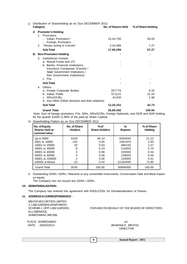j) Distribution of Shareholding as on 31st DECEMBER 2012:

| Category |                                                                                                                                                                                                              | No. of Shares Held        | % of Share Holding    |
|----------|--------------------------------------------------------------------------------------------------------------------------------------------------------------------------------------------------------------|---------------------------|-----------------------|
| A        | <b>Promoter's Holding</b><br>1. Promoters<br>Indian Promoters*<br>- Foreign Promoters<br>Person acting in Concert<br>2.                                                                                      | 15,44,700<br>2,24,599     | 50.00<br>7.27         |
|          | <b>Sub Total</b>                                                                                                                                                                                             | 17,69,299                 | 57.27                 |
| В.       | <b>Non-Promoters Holding</b>                                                                                                                                                                                 |                           |                       |
|          | Institutional Investor<br>3.<br>a. Mutual Funds and UTI<br>b. Banks, Financial Institutions,<br>Insurance Companies (Central /<br>State Government Institutions /<br>Non Government Institutions)<br>c. Flls |                           |                       |
|          | <b>Sub Total</b>                                                                                                                                                                                             |                           |                       |
|          | Others<br>$4_{\cdot}$<br>a. Private Corporate Bodies<br>b. Indian Public<br>c. NRIs/OCBs<br>d. Any Other (Other directors and their relatives)                                                               | 287779<br>971122<br>61200 | 9.32<br>31.43<br>1.98 |
|          | <b>Sub Total</b>                                                                                                                                                                                             | 13,20,101                 | 42.73                 |
|          | <b>Grand Total</b>                                                                                                                                                                                           | 30,89,400                 | 100.00                |

Note: Sum of foreign promoters, FIIs, NRIs, NRIs/OCBs, Foreign Nationals, and GDR and ADR holding for the quarter 61600 (1.98% of the paid-up Share Capital).

k) Shareholding Pattern as on 31st DECEMBER 2012

| No. of Equity<br>Shares held at<br>nominal value | No. of Share<br><b>Holders</b> | % of<br><b>Share Holders</b> | In<br><b>Rupees</b> | % of Share<br><b>Holding</b> |
|--------------------------------------------------|--------------------------------|------------------------------|---------------------|------------------------------|
| Up to 5000                                       | 3328                           | 94.14                        | 6555940             | 21.22                        |
| 5001 to 10000                                    | 143                            | 4.05                         | 1081970             | 3.50                         |
| 10001 to 20000                                   | 33                             | 0.93                         | 486150              | 1.57                         |
| 20001 to 30000                                   | 8                              | 0.23                         | 216000              | 0.70                         |
| 30001 to 40000                                   | 3                              | 0.08                         | 105000              | 0.34                         |
| 40001 to 50000                                   | 3                              | 0.08                         | 138000              | 0.45                         |
| 50001 to 100000                                  | $\overline{2}$                 | 0.06                         | 128000              | 0.41                         |
| 100001 & Above                                   | 15                             | 0.42                         | 22182940            | 71.80                        |
| <b>Grand Total</b>                               | 3535                           | 100.00                       | 30894000            | 100.00                       |

l) Outstanding GDRs / ADRs / Warrants or any convertible Instruments, Conversation Date and likely impact on equity:

The Company has not issued any GDRs / ADRs.

#### **10. DEMATERIALISATION :**

The Company has entered into agreement with NSDL/CDSL for Dematerialization of Shares.

#### **11. ADDRESS & CORRESPONDENCE :**

MEHTA SECURITIES LIMITED 2, LAW GARDEN APARTMENT, ELLISBRIDGE, AHMEDABAD-380 006.

SCHEME-I, OPP. LAW GARDEN, FOR AND ON BEHALF OF THE BOARD OF DIRECTORS

PLACE : AHMEDABAD. sd/-DATE : 29/04//2013 **(BHAVNA D. MEHTA)** 

DIRECTOR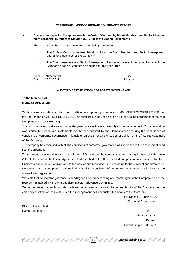#### **CERTIFICATE UNDER CORPORATE GOVERNANCE REPORT**

#### **A. Declaration regarding Compliance with the Code of Conduct by Board Members and Senior Management personnel pursuant to Clause 49(1)(D)(ii) of the Listing Agreement :**

This is to certify that as per Clause 49 of the Listing Agreement:

- 1. The Code of Conduct has been laid down for all the Board Members and Senior Management and other employees of the Company.
- 2. The Board members and Senior Management Personnel have affirmed compliance with the Company's code of conduct as adopted for the year 2012.

Place : Ahmedabad Sd/-Date : 29.04.2013 Director

#### **AUDITORS' CERTIFICATE ON CORPORATE GOVERNANCE**

# **To the Members of Mehta Securities Ltd.**

We have examined the compliance of conditions of corporate governance by M/s. MEHTA SECURITIES LTD., for the year ended on 31<sup>st</sup> DECEMBER, 2012 as stipulated in Revised clause 49 of the listing agreement of the said Company with stock exchanges.

The compliance of conditions of corporate governance is the responsibility of the management. Our examination was limited to procedures implementation thereof, adopted by the Company for ensuring the compliance of conditions of corporate governance. It is neither an audit nor an expression of opinion on the financial statement of the Company.

The company has complied with all the conditions of corporate governance as mentioned in the above-mentioned listing agreement.

There are independent directors on the Board of Directors of the company as per the requirement of sub-clause (1A) of clause 49 of the Listing Agreement that one-third of the Board should comprise of independent director.

Subject to above, in our opinion and to the best of our information and according to the explanations given to us, we certify that the company has complied with all the conditions of corporate governance as stipulated in the above listing agreement.

We state that no investor grievance is pending for a period exceeding one month against the Company as per the records maintained by the shareholders/investor grievance committee.

We further state that such compliance is neither an assurance as to the future viability of the Company nor the efficiency or effectiveness with which the management has conducted the affairs of the Company.

> For Dinesh K. Shah & Co. Chartered Accountants

Place : Ahmedabad, Dated : 16/4/2013 sd/-

Dinesh K. Shah Partner Membership # F-010477

|--|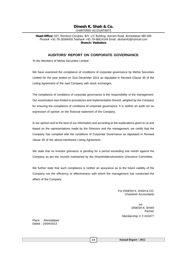#### **Dinesh K. Shah & Co.** CHARTERED ACCOUNTANTS

**Head Office:** 507, Hemkoot Complex, B/h. LIC Building, Ashram Road, Ahmedabad 380 009 Phone# +91-79-26584450 Telefax# +91-79-66614144 Email: dkshah43@hotmail.com **Branch: Vadodara**

# **AUDITORS' REPORT ON CORPORATE GOVERNANCE**

To the Members of Mehta Securities Limited :

We have examined the compliance of conditions of corporate governance by Mehta Securities Limited for the year ended on 31st December 2012 as stipulated in Revised Clause 49 of the Listing Agreement of the said Company with stock exchanges.

The compliance of conditions of corporate governance is the responsibility of the management. Our examination was limited to procedures and implementation thereof, adopted by the Company for ensuring the compliance of conditions of corporate governance. It is neither an audit nor an expression of opinion on the financial statement of the Company.

In our opinion and to the best of our information and according to the explanations given to us and based on the representations made by the Directors and the management, we certify that the Company has complied with the conditions of Corporate Governance as stipulated in Revised clause 49 of the above-mentioned Listing Agreement.

We state that no investor grievance is pending for a period exceeding one month against the Company as per the records maintained by the Shareholders/Investors Grievance Committee.

We further state that such compliance is neither an assurance as to the future viability of the Company nor the efficiency or effectiveness with which the management has conducted the affairs of the Company.

> For DINESH K. SHAH & CO. Chartered Accountants

> > sd/- DINESH K. SHAH Partner Membership # F-010477

Place : Ahmedabad Dated : 16/04/2013

12345678901234567890123456789012345678901234567890123456789012345678901234567890123456789012345678901234567890 123456789012345678901234567890121234567890123456789012345678901212345678901234567890123 123456789012345678901234567890121234567890123456789012345678901212345678901234567890123 **11 Annual Report : 2012**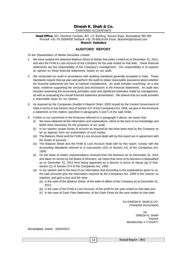#### **Dinesh K. Shah & Co.** CHARTERED ACCOUNTANTS

**Head Office:** 507, Hemkoot Complex, B/h. LIC Building, Ashram Road, Ahmedabad 380 009 Phone# +91-79-26584450 Telefax# +91-79-66614144 Email: dkshah43@hotmail.com **Branch: Vadodara**

#### **AUDITORS' REPORT**

To the Shareholders of Mehta Securities Limited

- 1. We have audited the attached Balance Sheet of Mehta Securities Limited as at December 31, 2012, and also the Profit & Loss Account of the Company for the year ended on that date. These financial statements are the responsibility of the Company's management. Our responsibility is to express an opinion on these financial statements, based on our audit.
- 2. We conducted our audit in accordance with auditing standards generally accepted in India. Those Standards require that we plan and perform the audit to obtain reasonable assurance about whether the financial statements are free of material misstatement. An audit includes examining, on a test basis, evidence supporting the amounts and disclosures in the financial statements. An audit also includes assessing the accounting principles used and significant estimates made by management, as well as evaluating the overall financial statement presentation. We believe that our audit provides a reasonable basis for our opinion.
- 3. As required by the Companies (Auditor's Report) Order, 2003 issued by the Central Government of India in terms of sub section (4A) of Section 227 of the Companies Act, 1956, we give in the Annexure a statement on the matters specified in paragraphs 4 and 5 of the said Order.
- 4. Further to our comments in the Annexure referred to in paragraph 3 above, we report that:
	- We have obtained all the information and explanations, which to the best of our knowledge and belief were necessary for the purposes of our audit;
	- (ii) In our opinion, proper books of account as required by law have been kept by the Company so far as appears from our examination of such books;
	- (iii) The Balance Sheet and the Profit & Loss Account dealt with by this report are in agreement with the books of account;
	- (iv) The Balance Sheet and the Profit & Loss Account dealt with by this report, comply with the Accounting Standards referred to in sub-section (3C) of Section 211 of the Companies Act, 1956;
	- (v) On the basis of written representations received from the directors as on December 31, 2012 and taken on record by the Board of Directors, we report that none of its directors is disqualified as on December 31, 2012 from being appointed as a director in terms of clause (g) of Subsection (1) of Section 274 of the Companies Act, 1956.
	- (vi) In our opinion and to the best of our information and according to the explanations given to us, the said accounts give the information required by the Companies Act, 1956 in the manner so required, and give a true and fair view:
		- (a) in the case of the Balance Sheet, of the state of affairs of the Company as at December 31, 2012,
		- (b) in the case of the Profit & Loss Account, of the profit for the year ended on that date and
		- (c) in the case of Cash Flow Statement, of the Cash Flows for the year ended on that date.

For DINESH K. SHAH & CO. Chartered Accountants

> sd/- DINESH K. SHAH Partner Membership # F-010477

Ahmedabad, Dated : 16/04/2013

12345678901234567890123456789012345678901234567890123456789012345678901234567890123456789012345678901234567890 123456789012345678901234567890121234567890123456789012345678901212345678901234567890123 123456789012345678901234567890121234567890123456789012345678901212345678901234567890123 **12 Annual Report : 2012**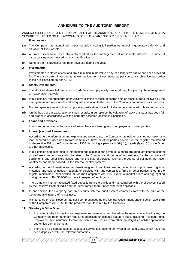# **ANNEXURE TO THE AUDITORS' REPORT**

ANNEXURE REFERRED TO IN THE PARAGRAPH 1 OF THE AUDITOR'S REPORT TO THE MEMBERS OF MEHTA SECURITIES LIMITED ON THE ACCOUNTS FOR THE YEAR ENDED 31<sup>ST</sup> DECEMBER, 2012

#### **1. Fixed Assets**

- (a) The Company has maintained proper records showing full particulars including quantitative details and situation of fixed assets.
- (b) All fixed assets have been physically verified by the management at reasonable intervals. No material discrepancies were noticed on such verification.
- (c) None of the Fixed Assets has been revalued during the year.

#### **2. Investments**

Investments are stated at cost and any diminution in the value if any, of a long-term nature has been provided for. There are current investments as well as long-term investments as per company's objective and policy these are classified as per AS-13.

#### **3. Stock / Investments.**

- (a) The stock of shares held as stock in trade has been physically verified during the year by the management at reasonable intervals.
- (b) In our opinion, the procedure of physical verification of stock of shares held as stock in trade followed by the management are reasonable and adequate in relation to the size of the Company and nature of its business.
- (c) No discrepancies were noticed on physical verification of stock of shares as compared to book of records.
- (d) On the basis of our explanation of stock records, in our opinion the valuation of stock of shares has been fair and proper in accordance with the normally accepted accounting principles.

#### **4. Loans and Advances**

Loans and Advances in the nature of loans, have not been given to employee and other parties.

#### **5. Loans: (secured & unsecured)**

According to the information and explanations given to us, the Company has neither granted nor taken any loan secured or unsecured to/from companies, firms or other parties covered in the register maintained under section 301 of the Companies Act, 1956. Accordingly, paragraph 4(iii) (b), (c), (d), (f) and (g) of the Order are not applicable.

- **6.** In our opinion and according to information and explanations given to us, there are adequate internal control procedures commensurate with the size of the Company and nature of its business, for the purchase of equipments and other fixed assets and for the sale of services. During the course of our audit, no major weakness has been noticed, in the internal control systems.
- **7.** According to the information and explanations given to us, there are no transactions of purchase of goods, materials and sale of goods, materials or services with any companies, firms or other parties listed in the register maintained under section 301 of The Companies Act, 1956 except at market prices and aggregating during the year to Rs. 50,000/- or more in respect of each party.
- **8.** The Company has not accepted fixed deposits from the public and has complied with the directives issued by the Reserve Bank of India and the rules framed there under, wherever applicable.
- **9.** In our opinion, the Company has an adequate internal audit system commensurate with the size of the Company and nature of is business.
- **10.** Maintenance of Cost Records has not been prescribed by the Central Government under Section 209(1)(d) of the Companies Act, 1956 for the products manufactured by the Company.

#### **11. Statutory & Other Dues :**

- i. According to the information and explanations given to us and based on the records examined by us, the Company has been generally regular in depositing undisputed statutory dues, including Provident Fund, Employees' State Insurance, Income tax, Service tax, Cess and any other Statutory dues with the appropriate authorities during the year.
- ii. There are no disputed dues in respect of Service tax, Income tax, Wealth tax, and Cess, which have not been deposited with the relevant authorities.

|--|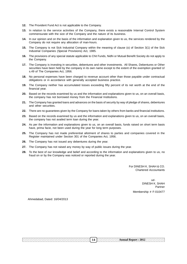- **12.** The Provident Fund Act is not applicable to the Company.
- **13.** In relation to the service activities of the Company, there exists a reasonable Internal Control System commensurate with the size of the Company and the nature of its business.
- **14.** In our opinion and on the basis of the information and explanation given to us, the services rendered by the Company do not require any allocation of man-hours.
- **15.** The Company is not Sick Industrial Company within the meaning of clause (o) of Section 3(1) of the Sick Industrial Companies (Special Provisions) Act, 1985.
- **16.** The provisions of any special statute applicable to Chit Funds, Nidhi or Mutual Benefit Society do not apply to the Company.
- **17.** The Company is investing in securities, debentures and other investments. All Shares, Debentures or Other securities have been held by the company in its own name except to the extent of the exemption granted U/ s.49 of The Companies Act, 1956.
- **18.** No personal expenses have been charged to revenue account other than those payable under contractual obligations or in accordance with generally accepted business practice.
- **19.** The Company neither has accumulated losses exceeding fifty percent of its net worth at the end of the financial year.
- **20.** Based on the records examined by us and the information and explanations given to us, on an overall basis, the company has not borrowed money from the Financial Institutions.
- **21.** The Company has granted loans and advances on the basis of security by way of pledge of shares, debentures and other securities.
- **22.** There are no guarantees given by the Company for loans taken by others from banks and financial institutions.
- **23.** Based on the records examined by us and the information and explanations given to us, on an overall basis, the company has not availed term loan during the year.
- **24.** As per the information and explanations given to us, on an overall basis, funds raised on short term basis have, prima facie, not been used during the year for long term purposes.
- **25.** The Company has not made preferential allotment of shares to parties and companies covered in the Register maintained under Section 301 of the Companies Act, 1956.
- **26.** The Company has not issued any debentures during the year.
- **27.** The Company has not raised any money by way of public issues during the year.
- **28.** To the best of our knowledge and belief and according to the information and explanations given to us, no fraud on or by the Company was noticed or reported during the year.

For DINESH K. SHAH & CO. Chartered Accountants

 sd/- DINESH K. SHAH Partner Membership # F-010477

Ahmedabad, Dated: 16/04/2013

| $\sim$ | - 20<br>201 |
|--------|-------------|
|--------|-------------|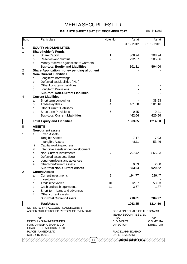# MEHTA SECURITIES LTD.

# **BALANCE SHEET AS AT 31<sup>st</sup> DECEMBER 2012** (Rs. in Lacs)

| Sr.no                                                                       | Particulars                                                   | Note No.       | As at                                                 | As at           |  |
|-----------------------------------------------------------------------------|---------------------------------------------------------------|----------------|-------------------------------------------------------|-----------------|--|
|                                                                             |                                                               |                | 31.12.2012                                            | 31.12.2011      |  |
| I.                                                                          | <b>EQUITY AND LIABILITIES</b>                                 |                |                                                       |                 |  |
| 1                                                                           | <b>Share holder's Funds</b>                                   |                |                                                       |                 |  |
|                                                                             | <b>Share Capital</b><br>a                                     | 1              | 308.94                                                | 308.94          |  |
|                                                                             | b<br><b>Reserves and Surplus</b>                              | $\overline{2}$ | 292.87                                                | 285.06          |  |
|                                                                             | Money received against share warrants<br>C                    |                |                                                       |                 |  |
|                                                                             | <b>Sub-total Equity and Liabilities</b>                       |                | 601.81                                                | 594.00          |  |
| $\overline{2}$                                                              | Share Application money pending allotment                     |                |                                                       |                 |  |
| 3                                                                           | <b>Non-Current Liabilities</b>                                |                |                                                       |                 |  |
|                                                                             | Long term Borrowings<br>a                                     |                |                                                       |                 |  |
|                                                                             | b<br>Deferred tax Liabilities (Net)                           |                |                                                       |                 |  |
|                                                                             | Other Long term Liabilities<br>C                              |                |                                                       |                 |  |
|                                                                             | d<br>Long term Provisions                                     |                |                                                       |                 |  |
|                                                                             | <b>Sub-total Non-Current Liabilities</b>                      |                |                                                       |                 |  |
| 4                                                                           | <b>Current Liabilities</b>                                    |                |                                                       |                 |  |
|                                                                             | Short term borrowings<br>a                                    | 3              |                                                       | 38.93           |  |
|                                                                             | b<br><b>Trade Payables</b>                                    | 4              | 461.58                                                | 581.16          |  |
|                                                                             | <b>Other Current Liabilities</b><br>$\mathbf{C}$              |                |                                                       |                 |  |
|                                                                             | d<br><b>Short term Provisions</b>                             | 5              | 0.45                                                  | 0.41            |  |
|                                                                             | <b>Sub-total Current Liabilities</b>                          |                | 462.04                                                | 620.50          |  |
|                                                                             | <b>Total Equity and Liabilities</b>                           |                | 1063.85                                               | 1214.50         |  |
|                                                                             |                                                               |                |                                                       |                 |  |
| ΙΙ.                                                                         | <b>ASSETS</b>                                                 |                |                                                       |                 |  |
|                                                                             | <b>Non-current assets</b>                                     |                |                                                       |                 |  |
| 1                                                                           | <b>Fixed Assets</b><br>a                                      | 6              |                                                       |                 |  |
|                                                                             | j.<br><b>Tangible Assets</b><br>ii                            |                | 7.17                                                  | 7.93            |  |
|                                                                             | Intangible Assets                                             |                | 48.11                                                 | 53.46           |  |
|                                                                             | iii<br>Capital work in progress                               |                |                                                       |                 |  |
|                                                                             | Intangible assets under development<br>iv                     | $\overline{7}$ |                                                       |                 |  |
|                                                                             | b<br>Non-Current investments                                  |                | 797.42                                                | 865.33          |  |
|                                                                             | Deferred tax assets (Net)<br>$\mathbf{C}$<br>d                |                |                                                       |                 |  |
|                                                                             | Long-term loans and advances<br>other Non-Current assets      |                |                                                       |                 |  |
|                                                                             | е                                                             | 8              | 0.33                                                  | 2.80            |  |
| $\overline{2}$                                                              | <b>Sub-total Non- Current Assets</b><br><b>Current Assets</b> |                | 853.04                                                | 929.52          |  |
|                                                                             | <b>Current Investments</b>                                    | 9              | 194.77                                                | 229.47          |  |
|                                                                             | a<br>b<br>Inventories                                         |                |                                                       |                 |  |
|                                                                             | Trade receivables                                             | 10             |                                                       | 53.63           |  |
|                                                                             | $\mathbf c$<br>d                                              | 11             | 12.37<br>3.67                                         | 1.87            |  |
|                                                                             | Cash and cash equivalents<br>Short-term loans and advances    |                |                                                       |                 |  |
|                                                                             | е<br>f<br>Other current assets                                |                |                                                       |                 |  |
|                                                                             | <b>Sub-total Current Assets</b>                               |                | 210.81                                                | 284.97          |  |
|                                                                             |                                                               |                |                                                       |                 |  |
|                                                                             | <b>Total Assets</b>                                           |                | 1063.85                                               | 1214.50         |  |
| NOTES TO THE ACCOUNTS ANNEXURE-1<br>AS PER OUR ATTACHED REPORT OF EVEN DATE |                                                               |                |                                                       |                 |  |
|                                                                             |                                                               |                | FOR & ON BEHALF OF THE BOARD<br>MEHTA SECURITIES LTD. |                 |  |
|                                                                             | sd/-                                                          | $sd/-$         |                                                       | sd/-            |  |
|                                                                             | DINESH K SHAH-PARTNERS<br>FOR, DINESH K SHAH & CO             |                | B.D. MEHTA                                            | C.D.MEHTA       |  |
|                                                                             |                                                               |                | <b>DIRECTOR</b>                                       | <b>DIRECTOR</b> |  |
|                                                                             | CHARTERED ACCOUNTANTS                                         |                |                                                       |                 |  |
|                                                                             | PLACE: AHMEDABAD                                              |                | PLACE: AHMEDABAD                                      |                 |  |
|                                                                             | DATE: 16/4/2013                                               |                | DATE: 16/4/2013                                       |                 |  |
|                                                                             | 15                                                            |                | Annual Report : 2012                                  |                 |  |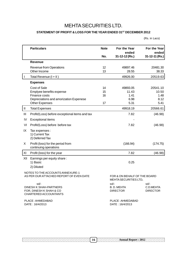# MEHTA SECURITIES LTD.

# STATEMENT OF PROFIT & LOSS FOR THE YEAR ENDED 31<sup>st</sup> DECEMBER 2012

(Rs. in Lacs)

|                                     | <b>Particulars</b>                                                                                                           |                      | For the Year                                          | For the Year                              |
|-------------------------------------|------------------------------------------------------------------------------------------------------------------------------|----------------------|-------------------------------------------------------|-------------------------------------------|
|                                     |                                                                                                                              | No.                  | ended<br>31-12-12 (Rs.)                               | ended<br>31-12-11 (Rs.)                   |
|                                     | <b>Revenue</b>                                                                                                               |                      |                                                       |                                           |
|                                     | Revenue from Operations<br>Other Income                                                                                      | 12<br>13             | 49897.46<br>28.55                                     | 20481.30<br>38.33                         |
| $\mathbf{I}$                        | Total Revenue (I + II)                                                                                                       |                      | 49926.00                                              | 20519.63                                  |
|                                     | <b>Expenses</b>                                                                                                              |                      |                                                       |                                           |
|                                     | Cost of Sale<br>Emplyee benefits expense<br>Finance costs<br>Depreciations and amorization Expenese<br><b>Other Expenses</b> | 14<br>15<br>16<br>17 | 49893.05<br>11.43<br>1.41<br>6.98<br>5.31             | 20541.10<br>10.50<br>1.48<br>8.12<br>5.41 |
| $\mathbf{I}$                        | <b>Total Expenses</b>                                                                                                        |                      | 49918.19                                              | 20566.61                                  |
| Ш                                   | Profit/(Loss) before exceptional items and tax                                                                               |                      | 7.82                                                  | (46.98)                                   |
| IV                                  | <b>Exceptional items</b>                                                                                                     |                      |                                                       |                                           |
| VI                                  | Profit/(Loss) before before tax                                                                                              |                      | 7.82                                                  | (46.98)                                   |
| IX                                  | Tax expenses :<br>1) Current Tax<br>2) Deferred Tax                                                                          |                      |                                                       |                                           |
| X                                   | Profit (loss) for the period from<br>continuing operations                                                                   |                      | (166.94)                                              | (174.75)                                  |
| XI                                  | Profit (loss) for the year                                                                                                   |                      | 7.82                                                  | (46.98)                                   |
| XII                                 | Earnings per equity share:<br>1) Basic<br>2) Diluted                                                                         |                      | 0.25                                                  |                                           |
|                                     | NOTES TO THE ACCOUNTS ANNEXURE-1<br>AS PER OUR ATTACHED REPORT OF EVEN DATE                                                  |                      | FOR & ON BEHALF OF THE BOARD<br>MEHTA SECURITIES LTD. |                                           |
|                                     | sd/-<br>DINESH K SHAH-PARTNERS<br>FOR, DINESH K SHAH & CO<br>CHARTERED ACCOUNTANTS                                           |                      | sd/-<br>B.D. MEHTA<br><b>DIRECTOR</b>                 | sd/-<br>C.D.MEHTA<br><b>DIRECTOR</b>      |
| PLACE: AHMEDABAD<br>DATE: 16/4/2013 |                                                                                                                              |                      | PLACE: AHMEDABAD<br>DATE: 16/4/2013                   |                                           |

|--|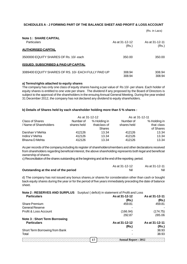### **SCHEDULES A - J FORMING PART OF THE BALANCE SHEET AND PROFIT & LOSS ACCOUNT**

(Rs. in Lacs)

| <b>Note 1: SHARE CAPITAL</b>                         |                |                |
|------------------------------------------------------|----------------|----------------|
| Particulars                                          | As at 31-12-12 | As at 31-12-11 |
|                                                      | (Rs.)          | (Rs.)          |
| <b>AUTHORISED CAPITAL</b>                            |                |                |
| 3500000 EQUITY SHARES OF Rs. 10/- each               | 350.00         | 350.00         |
|                                                      |                |                |
| <b>ISSUED. SUBSCRIBED &amp; PAID UP CAPITAL</b>      |                |                |
| 3089400 EQUITY SHARES OF RS. 10/- EACH FULLY PAID UP | 308.94         | 308.94         |
|                                                      | 308.94         | 308.94         |

#### **a) Terms/rights attached to equity shares**

The company has only one class of equity shares having a par value of Rs 10/- per share. Each holder of equity shares is entitled to one vote per share. The dividend if any proposed by the Board of Directors is subject to the approval of the shareholders in the ensuing Annual General Meeting. During the year ended 31 December 2012, the company has not declared any dividend to equity shareholders.

#### **b) Details of Shares held by each shareholder holding more than 5 % shares :**

|                        | As at 31-12-12 |               |             | As at 31-12-11 |  |
|------------------------|----------------|---------------|-------------|----------------|--|
| Class of Shares        | Number of      | % Holding in  | Number of   | % Holding in   |  |
| / Name of Shareholders | shares held    | thatclass of  | shares held | that class     |  |
|                        |                | <b>Shares</b> |             | of Shares      |  |
| Darshan V Mehta        | 412126         | 13.34         | 412126      | 13.34          |  |
| Indira V Mehta         | 412126         | 13.34         | 412126      | 13.34          |  |
| Bhavna D Mehta         | 412126         | 13.34         | 412126      | 13.34          |  |

As per records of the company,including its register of shareholders/members and other declarations received from shareholders regarding beneficial interest, the above shareholding represents both legal and beneficial ownership of shares.

c) Reconciliation of the shares outstanding at the beginning and at the end of the reporting period.

|                                      | As at 31-12-12 | As at 31-12-11 |
|--------------------------------------|----------------|----------------|
| Outstanding at the end of the period | Nil            |                |

d) The company has not issued any bonus shares,or shares for consideration other than cash or bought back equity shares during the year or for the period of five years immediately preceding the date of balance sheet.

**Note 2 : RESERVES AND SURPLUS** Surplus/ ( deficit) in statement of Profit and Loss

| <b>Particulars</b>                  | As at 31-12-12       | As at 31-12-11 |
|-------------------------------------|----------------------|----------------|
|                                     | (Rs.)                | (Rs.)          |
| <b>Share Premium</b>                | 459.81               | 459.81         |
| <b>General Reserve</b>              |                      |                |
| Profit & Loss Account               | (166.94)             | (174.75)       |
|                                     | 292.87               | 285.06         |
| <b>Note 3: Short Term Borrowing</b> |                      |                |
| <b>Particulars</b>                  | As at 31-12-12       | As at 31-12-11 |
|                                     | (Rs.)                | (Rs.)          |
| Short Term Borrowing from Bank      |                      | 38.93          |
| Total                               |                      | 38.93          |
| $\sqrt{7}$                          | Annyal Report (2012) |                |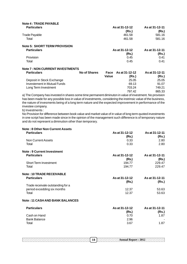| <b>Note 4: TRADE PAYABLE</b>                                                                             |                     |       |                |                |
|----------------------------------------------------------------------------------------------------------|---------------------|-------|----------------|----------------|
| <b>Particulars</b>                                                                                       |                     |       | As at 31-12-12 | As at 31-12-11 |
|                                                                                                          |                     |       | (Rs.)          | (Rs.)          |
| Trade Payable                                                                                            |                     |       | 461.58         | 581.16         |
| Total                                                                                                    |                     |       | 461.58         | 581.16         |
| <b>Note 5: SHORT TERM PROVISION</b>                                                                      |                     |       |                |                |
| <b>Particulars</b>                                                                                       |                     |       | As at 31-12-12 | As at 31-12-11 |
|                                                                                                          |                     |       | (Rs.)          | (Rs.)          |
| Provision                                                                                                |                     |       | 0.45           | 0.41           |
| Total                                                                                                    |                     |       | 0.45           | 0.41           |
| <b>Note 7: NON CURRENT INVESTMENTS</b>                                                                   |                     |       |                |                |
| <b>Particulars</b>                                                                                       | <b>No of Shares</b> | Face  | As at 31-12-12 | As at 31-12-11 |
|                                                                                                          |                     | Value | (Rs.)          | (Rs.)          |
| Deposit in Stock Exchange                                                                                |                     |       | 25.05          | 25.05          |
| <b>Investement in Mutual Funds</b>                                                                       |                     |       | 69.13          | 91.07          |
| Long Term Investment                                                                                     |                     |       | 703.24         | 749.21         |
|                                                                                                          |                     |       | 797.42         | 865.33         |
| a) The Cempeny bee invested in shares come time permanent diminutes in value of investment. No provision |                     |       |                |                |

a) The Company has invested in shares some time permanent diminuton in value of investment. No provision has been made for any possible loss in value of investments, considering the instrinsic value of the business, the nature of invesments being of a long term nature and the expected improvement in performance of the investee company.

b) Investments :

No Provision for difference between book value and market value of in value of long term quoted investments in one script has been made since in the opinion of the management such difference is of temporary nature and do not represent a diminution other than temporary.

| <b>Note: 8 Other Non Current Assets</b> |                |                |
|-----------------------------------------|----------------|----------------|
| <b>Particulars</b>                      | As at 31-12-12 | As at 31-12-11 |
|                                         | (Rs.)          | (Rs.)          |
| <b>Non Current Assets</b>               | 0.33           | 2.80           |
| Total                                   | 0.33           | 2.80           |
| <b>Note: 9 Current Investment</b>       |                |                |
| <b>Particulars</b>                      | As at 31-12-12 | As at 31-12-11 |
|                                         | (Rs.)          | (Rs.)          |
| <b>Short Term Investment</b>            | 194.77         | 229.47         |
| Total                                   | 194.77         | 229.47         |
| <b>Note: 10 TRADE RECEIVABLE</b>        |                |                |
| <b>Particulars</b>                      | As at 31-12-12 | As at 31-12-11 |
|                                         | (Rs.)          | (Rs.)          |
| Trade receivale outstanding for a       |                |                |
| period excedding six months             | 12.37          | 53.63          |
| Total                                   | 12.37          | 53.63          |
| <b>Note: 11 CASH AND BANK BALANCES</b>  |                |                |
| <b>Particulars</b>                      | As at 31-12-12 | As at 31-12-11 |
|                                         | (Rs.)          | (Rs.)          |
| Cash on Hand                            | 0.70           | 1.87           |
| <b>Bank Balance</b>                     | 2.96           |                |
| Total                                   | 3.67           | 1.87           |

| ╯ | . .<br>ιc | 2N<br>∡ñr<br> |
|---|-----------|---------------|
|   |           |               |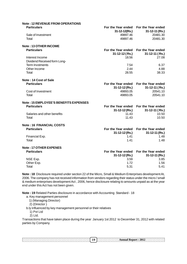| <b>Note: 12 REVENUE FROM OPERATIONS</b>                     |                      |                                                               |
|-------------------------------------------------------------|----------------------|---------------------------------------------------------------|
| <b>Particulars</b>                                          |                      | For the Year ended For the Year ended                         |
|                                                             | $31 - 12 - 12$ (Rs.) | 31-12-11 (Rs.)                                                |
| Sale of Investment                                          | 49897.46             | 20481.30                                                      |
| Total                                                       | 49897.46             | 20481.30                                                      |
| Note: 13 OTHER INCOME                                       |                      |                                                               |
| <b>Particulars</b>                                          |                      | For the Year ended For the Year ended                         |
|                                                             | 31-12-12 (Rs.)       | 31-12-11 (Rs.)                                                |
| Interest Income                                             | 18.56                | 27.08                                                         |
| Dividend Received form Long-                                |                      |                                                               |
| <b>Term Invstments</b>                                      | 7.54                 | 6.37                                                          |
| Other Income                                                | 2.44                 | 4.88                                                          |
| Total                                                       | 28.55                | 38.33                                                         |
| Note: 14 Cost of Sale                                       |                      |                                                               |
| <b>Particulars</b>                                          |                      | For the Year ended For the Year ended                         |
|                                                             | 31-12-12 (Rs.)       | $31-12-11$ (Rs.)                                              |
| Cost of Investment                                          | 49893.05             | 20541.10                                                      |
| Total                                                       | 49893.05             | 20541.10                                                      |
|                                                             |                      |                                                               |
| Note: 15 EMPLOYEE'S BENEFITS EXPENSES<br><b>Particulars</b> |                      |                                                               |
|                                                             | 31-12-12 (Rs.)       | For the Year ended For the Year ended<br>$31 - 12 - 11$ (Rs.) |
| Salaries and other benefits                                 | 11.43                | 10.50                                                         |
| Total                                                       | 11.43                | 10.50                                                         |
|                                                             |                      |                                                               |
| <b>Note: 16 FINANCIAL COSTS</b>                             |                      |                                                               |
| <b>Particulars</b>                                          |                      | For the Year ended For the Year ended                         |
|                                                             | 31-12-12 (Rs.)       | 31-12-11 (Rs.)                                                |
| Financial Exp.                                              | 1.41                 | 1.48                                                          |
| Total                                                       | 1.41                 | 1.48                                                          |
| <b>Note: 17 OTHER EXPENES</b>                               |                      |                                                               |
| <b>Particulars</b>                                          | For the Year ended   | For the Year ended                                            |
|                                                             | $31 - 12 - 12$ (Rs.) | 31-12-11 (Rs.)                                                |
| NSE Exp.                                                    | 3.59                 | 3.85                                                          |
| Other Exp.                                                  | 1.72                 | 1.56                                                          |
| Total                                                       | 5.31                 | 5.41                                                          |

**Note : 18** Disclosure required under section 22 of the Micro, Small & Medium Enterprises development At, 2006. The company has not received information from vendors regarding their status under the micro / small & medium enterprises development Act , 2006, hence disclosure relating to amounts unpaid as at the year end under this Act has not been given.

**Note : 19** Related Parties disclosure in accordance with Accounting Standard - 18

- a. Key management personnel
	- 1) (Managing Director)
	- 2) (Director )
- b.ly influenced by key management personnel or their relatives
	- 1) Pvt Ltd
	- 2) Ltd.

Transactions that have taken place during the year January 1st 2012 to December 31, 2012 with related parties by Company.

|--|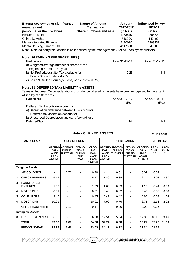| <b>Enterprises owned or significantly</b>                                                             | <b>Nature of Amount</b> | Amount         | influenced by key |
|-------------------------------------------------------------------------------------------------------|-------------------------|----------------|-------------------|
| management                                                                                            | <b>Transaction</b>      | 2012-2012      | 2011-11           |
| personnel or their relatives                                                                          | Share purchase and sale | (in Rs.)       | (in Rs.)          |
| Bhavna D. Mehta                                                                                       |                         | 1763445        | 3585722           |
| Chirag D. Mehta                                                                                       |                         | 746990         | 143400            |
| Mehta Integrated Finance Ltd.                                                                         |                         | 1110020        | 6309932           |
| Mehta Housing Finance Ltd.                                                                            |                         | 4147520        | 849000            |
| Note: Related party relationship is as identified by the management & relied upon by the auditors.    |                         |                |                   |
| Note: 20 EARNING PER SHARE (EPS)                                                                      |                         |                |                   |
| <b>Particulars</b>                                                                                    |                         | As at 31-12-12 | As at 31-12-11    |
| a) Weighted average number of shares at the                                                           |                         |                |                   |
| beginning & end of the year.                                                                          |                         |                |                   |
| b) Net Profit/(Loss) after Tax available for                                                          |                         | 0.25           | Nil               |
| Equity Share holders (In Rs.)                                                                         |                         |                |                   |
| c) Basic & Diluted Earnings/(Loss) per shares (In Rs.)                                                |                         |                |                   |
|                                                                                                       |                         |                |                   |
| Note: 21 DEFERRED TAX ( LIABILITY ) / ASSETS                                                          |                         |                |                   |
| Taxes on Income: On considerations of prudence differed tax assets have been recognised to the extent |                         |                |                   |
| of liability of differed tax.                                                                         |                         |                |                   |
| <b>Particulars</b>                                                                                    |                         | As at 31-03-12 | As at 31-03-11    |
|                                                                                                       |                         | (Rs.)          | (Rs.)             |
| Deffered Tax Liability on account of                                                                  |                         |                |                   |
| a) Depreciation difference between I.T & Accounts                                                     |                         |                |                   |
| Deferred tax assets on account of                                                                     |                         |                |                   |
| b) Unbsorbed Depreciation and carry forward loss                                                      |                         |                |                   |
| Deferred Tax                                                                                          |                         | Nil            | Nil               |

| Note - 6 FIXED ASSETS | (Rs. In Lacs) |
|-----------------------|---------------|
|-----------------------|---------------|

|  | (Rs. In Lacs) |
|--|---------------|
|  |               |

|                | <b>PARTICULARS</b>                        |                                                       |                                                             | <b>GROSS BLOCK</b><br><b>DEPRECIATION</b>                            |                                                                                     |                                                       | <b>NET BLOCK</b>                                            |                                                            |                                                                          |                            |                                   |
|----------------|-------------------------------------------|-------------------------------------------------------|-------------------------------------------------------------|----------------------------------------------------------------------|-------------------------------------------------------------------------------------|-------------------------------------------------------|-------------------------------------------------------------|------------------------------------------------------------|--------------------------------------------------------------------------|----------------------------|-----------------------------------|
|                |                                           | BAL-<br><b>ANCE</b><br><b>AS ON</b><br>$01 - 01 - 12$ | <b>OPENING ADDITION</b><br><b>DURING</b><br><b>THE YEAR</b> | DEDUC-<br><b>TIONS</b><br><b>DURING</b><br><b>THE</b><br><b>YEAR</b> | CLOS-<br><b>ING</b><br><b>BAL-</b><br><b>ANCE</b><br><b>AS ON</b><br>$31 - 12 - 12$ | BAL-<br><b>ANCE</b><br><b>AS ON</b><br>$01 - 01 - 12$ | <b>OPENING ADDITION</b><br><b>DURING</b><br><b>THE YEAR</b> | DEDUC-<br><b>TIONS</b><br><b>DURING</b><br><b>THE YEAR</b> | <b>ICLOSING</b><br>BAL-<br><b>ANCE</b><br><b>AS ON</b><br>$31 - 12 - 12$ | AS ON<br>$31 - 12 -$<br>12 | <b>AS ON</b><br>$31 - 12 -$<br>11 |
|                | <b>Tangible Assets</b>                    |                                                       |                                                             |                                                                      |                                                                                     |                                                       |                                                             |                                                            |                                                                          |                            |                                   |
| 1              | <b>AIR CONDITION</b>                      |                                                       | 0.70                                                        |                                                                      | 0.70                                                                                |                                                       | 0.01                                                        |                                                            | 0.01                                                                     | 0.69                       |                                   |
| $\overline{2}$ | OFFICE PREMISES                           | 5.17                                                  |                                                             |                                                                      | 5.17                                                                                | 1.80                                                  | 0.34                                                        |                                                            | 2.14                                                                     | 3.03                       | 3.37                              |
| 3              | <b>FURNITURE &amp;</b><br><b>FIXTURES</b> | 1.59                                                  |                                                             |                                                                      | 1.59                                                                                | 1.06                                                  | 0.09                                                        |                                                            | 1.15                                                                     | 0.44                       | 0.53                              |
| $\overline{4}$ | <b>MOTOR BIKES</b>                        | 0.51                                                  |                                                             |                                                                      | 0.51                                                                                | 0.43                                                  | 0.02                                                        |                                                            | 0.45                                                                     | 0.06                       | 0.08                              |
| 5              | <b>COMPUTERS</b>                          | 9.45                                                  |                                                             |                                                                      | 9.45                                                                                | 8.41                                                  | 0.42                                                        |                                                            | 8.83                                                                     | 0.62                       | 1.04                              |
| 6              | <b>MOTOR CAR</b>                          | 10.91                                                 |                                                             |                                                                      | 10.91                                                                               | 7.99                                                  | 0.76                                                        |                                                            | 8.75                                                                     | 2.16                       | 2.92                              |
| $\overline{7}$ | <b>OFFICE EQUIPMENT</b>                   |                                                       | 0.17                                                        |                                                                      | 0.17                                                                                |                                                       | 0.00                                                        |                                                            | 0.00                                                                     | 0.16                       |                                   |
|                | <b>Intangible Assets</b>                  |                                                       |                                                             |                                                                      |                                                                                     |                                                       |                                                             |                                                            |                                                                          |                            |                                   |
| 8              | LICENSES/FRANCH.                          | 66.00                                                 |                                                             |                                                                      | 66.00                                                                               | 12.54                                                 | 5.34                                                        |                                                            | 17.88                                                                    | 48.12                      | 53.46                             |
|                | <b>TOTAL</b>                              | 93.63                                                 | 0.87                                                        |                                                                      | 94.50                                                                               | 32.24                                                 | 6.98                                                        |                                                            | 39.22                                                                    | 55.28                      | 61.39                             |
|                | <b>PREVIOUS YEAR</b>                      | 93.23                                                 | 0.40                                                        | $\overline{\phantom{0}}$                                             | 93.63                                                                               | 24.12                                                 | 8.12                                                        |                                                            | 32.24                                                                    | 61.39                      |                                   |

123456789012345678901234567890121234567890123456789012345678901212345678901234567890123 123456789012345678901234567890121234567890123456789012345678901212345678901234567890123 <sup>123456789012345678901234567890121234567890123456789012345678901212345678901234567890123</sup> **Annual Report : 2012 20**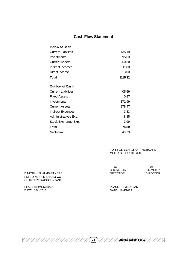# **Cash Flow Statement**

| <b>Inflow of Cash</b>     |         |
|---------------------------|---------|
| <b>Current Liabilites</b> | 435.19  |
| Investments               | 395.03  |
| <b>Current Assets</b>     | 260.30  |
| Indirect Incomes          | 11.80   |
| Direct Income             | 13.00   |
| <b>Total</b>              | 1115.32 |

#### **Outflow of Cash**

| Current Liabilities      | 405.59  |
|--------------------------|---------|
| Fixed Assets             | 0.87    |
| Investments              | 372.99  |
| Current Assets           | 278.47  |
| <b>Indirect Expenses</b> | 3.83    |
| Administratives Exp.     | 8.85    |
| Stock Exchange Exp.      | 3.99    |
| Total                    | 1074.59 |
| Net Inflow               | 40.73   |

#### FOR & ON BEHALF OF THE BOARD MEHTA SECURITIES LTD.

DINESH K SHAH-PARTNERS DIRECTOR DIRECTOR FOR, DINESH K SHAH & CO CHARTERED ACCOUNTANTS

PLACE : AHMEDABAD PLACE : AHMEDABAD PLACE : AHMEDABAD PLACE : AHMEDABAD PLACE : 16/4/2013 DATE: 16/4/2013

 sd/- sd/- B. D. MEHTA C.D.MEHTA

| `nal⁄ Renort∧.<br>$-201$<br>Annr<br>✓ |
|---------------------------------------|
|---------------------------------------|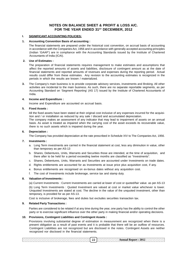# **NOTES ON BALANCE SHEET & PROFIT & LOSS A/C.** FOR THE YEAR ENDED 31<sup>ST</sup> DECEMBER, 2012

#### **I. SIGNIFICANT ACCOUNTING POLICIES:**

#### **1. Accounting Convention Basis of accounting :**

The financial statements are prepared under the historical cost convention, on accrual basis of accounting in accordance with the Companies Act, 1956 and in accordance with generally accepted accounting principles (Indian 'GAAP') are in compliance with the Accounting Standards issued by the Institute of Chartered Accountants of India (ICAI).

#### **2. Use of Estimates :**

The preparation of financial statements requires management to make estimates and assumptions that affect the reported amounts of assets and liabilities, disclosure of contingent amount as at the date of financial statements and reported amounts of revenues and expenses during the reporting period. Actual results could differ from these estimates. Any revision to the accounting estimates is recognized in the periods in which the results are known / materialized.

**3.** The Company's main business is to provide corporate advisory services, investments and Broking. All other activities are incidental to the main business. As such, there are no separate reportable segments, as per Accounting Standard on 'Segment Reporting' (AS 17) issued by the Institute of Chartered Accountants of India.

#### **4. Income and Expenditure :**

Income and Expenditure are accounted on accrual basis.

### **5. Fixed Assets :**

All the fixed assets have been stated at their original cost inclusive of any expenses incurred for the acquisition and / or installation as reduced by any sale / discard and accumulated depreciation.

The company makes an assessment of any indicator that may lead to impairment of assets on an annual basis. As asset is treated as impaired when the carrying cost of the asset exceeds its recoverable value, there is no such assets which is impaired during the year.

#### **6. Depreciation :**

The Company has provided depreciation at the rate prescribed in Schedule XIV to The Companies Act, 1956.

#### **7. Investments :**

- a. Long Term investments are carried in the financial statement at cost, less any diminution in value, other than temporary as per AS-13
- b. Shares, Debentures, Units, Warrants and Securities those are intended, at the time of acquisition, and there after to be held for a period exceeding twelve months are classified as "Investments".
- c. Shares, Debentures, Units, Warrants and Securities are accounted under Investments on trade dates.
- d. Rights entitlements are accounted for as Investments at issue price plus acquisition cost, if any.
- e. Bonus entitlements are recognised on ex-bonus dates without any acquisition cost.
- f. The cost of Investments include brokerage, service tax and stamp duty.

#### **8. Valuation of Investments :**

(a) Current Investments : Current Investments are carried at lower of cost or quoted/fair value. as per AS-13

(b) Long Term Investments : Quoted Investment are valued at cost or market value whichever is lower. Unquoted Investments are stated at cost. The decline in the value of the unquoted investment, other than temporary, is provided for as per AS-13.

Cost is inclusive of brokerage, fees and duties but excludes securities transaction tax.

#### **9. Related Party Transactions :**

Parties are considered to be related if at any time during the year, one party has the ability to control the other party or to exercise significant influence over the other party in making financial and/or operating decisions.

#### **10. Provisions, Contingent Liabilities and Contingent Assets :**

Provisions involving substantial degree of estimation in measurement are recognized when there is a present obligation as a result of past events and it is probable that there will be an outflow of resources. Contingent Liabilities are not recognized but are disclosed in the notes. Contingent Assets are neither recognized nor disclosed in the financial statements.

| 420X2<br>$\overline{ }$ |
|-------------------------|
|-------------------------|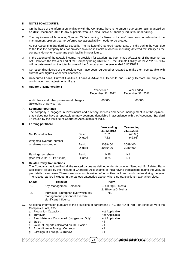#### **II. NOTES TO ACCOUNTS:**

- **1.** On the basis of the information available with the Company, there is no amount due but remaining unpaid as on 31st December 2012 to any suppliers who is a small scale or ancillary industrial undertaking.
- **2.** The requirement of Accounting Standard 22 "Accounting for Taxes on Income" have been considered and the management opinion that no deferred tax assets/liability needs to be created.

As per Accounting Standard 22 issued by The Institute of Chartered Accountants of India during the year, due to the loss the company has not provided taxation in Books of Account including deferred tax liability as the company do not envisage any such liability in near future.

- **3.** In the absence of the taxable income, no provision for taxation has been made U/s.115JB of The Income Tax Act. However, the tax-year end of the Company being 31/03/2012, the ultimate liability for the A.Y.2013-2014 will be determined on the total Income of the Company for the year ended 31/03/2013.
- **4.** Corresponding figures of the previous year have been regrouped or restated to make them comparable with current year figures whenever necessary.
- **5.** Unsecured Loans, Current Liabilities, Loans & Advances, Deposits and Sundry Debtors are subject to confirmation and adjustments, if any.

#### **6. Auditor's Remuneration :**

|                                           | Year ended        | Year ended        |
|-------------------------------------------|-------------------|-------------------|
|                                           | December 31, 2012 | December 31, 2011 |
| Audit Fees and other professional charges | 6000/-            | $6000/-$          |
| (Excluding of Service Tax)                |                   |                   |

#### **7. Segment Reporting :**

The company is engaged in Investments and advisory services and hence management is of the opinion that it does not have a reportable primary segment identifiable in accordance with the Accounting Standard 17 issued by the Institute of Chartered Accountants of India.

#### **8. Earning per Share :**

|                               |                | Year ending<br>31.12.2012 | Year ending<br>31.12.2011 |
|-------------------------------|----------------|---------------------------|---------------------------|
| Net Profit after Tax          | Basic          | 7.82                      | (46.98)                   |
|                               | Diluted        | 7.82                      | (46.98)                   |
| Weighted average number       |                |                           |                           |
| of shares outstanding         | Basic          | 3089400                   | 3089400                   |
|                               | <b>Diluted</b> | 3089400                   | 3089400                   |
| Earnings per share            | <b>Basic</b>   | 0.25                      | Nil                       |
| (face value Rs. 10 Per share) | <b>Diluted</b> | 0.25                      | Nil                       |

#### **9. Related Party Transactions :**

The Company has identified all the related parties as defined under Accounting Standard 18 "Related Party Disclosure" issued by the Institute of Chartered Accountants of India having transactions during the year, as per details given below. There were no amounts written off or written back from such parties during the year. The related parties included in the various categories above, where no transactions have taken place.

| Sr. No. | <b>Relation</b>                                                                                                       | Party                                    |
|---------|-----------------------------------------------------------------------------------------------------------------------|------------------------------------------|
|         | Key Management Personnel                                                                                              | 1. Chirag D. Mehta<br>2. Bhavna D. Mehta |
| 2.      | Individual / Enterprise over which key<br>management personnel exercise<br>significant influence                      | NIL                                      |
|         | A delition of information in magnetic the magnetic security consistent $\cap$ $A\cap$ and $A\cap$ of $\cap$ and $\Pi$ |                                          |

**10.** Additional information pursuant to the provisions of paragraphs 3, 4C and 4D of Part II of Schedule VI to the Companies Act, 1956.

12345678901234567890123456789012345678901234567890123456789012345678901234567890123456789012345678901234567890 123456789012345678901234567890121234567890123456789012345678901212345678901234567890123 <sup>123456789012345678901234567890121234567890123456789012345678901212345678901234567890123</sup> **23 Annual Report : 2012**

|    | a. Production Capacity:                       | Not Applicable |
|----|-----------------------------------------------|----------------|
|    | b. Turnover:                                  | Not Applicable |
|    | c. Raw Materials Consumed: (Indigenous Only): | Not Applicable |
|    | d. Stock:                                     | Nil            |
|    | e. Value of Imports calculated on CIF Basis:  | Nil            |
| f. | Expenditure in Foreign Currency:              | Nil            |
|    | g. Earnings in Foreign Currency:              | Nil            |
|    |                                               |                |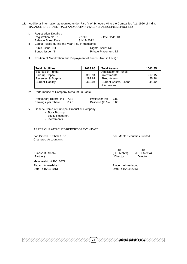- **11.** Additional information as required under Part IV of Schedule VI to the Companies Act, 1956 of India: BALANCE SHEET ABSTRACT AND COMPANY'S GENERAL BUSINESS PROFILE:
	- I. Registration Details : Registration No. : 22740 State Code: 04 Balance Sheet Date : 31-12-2012 II. Capital raised during the year (Rs. in thousands) Public Issue: Nil<br>
	Bonus Issue: Nil **Bonus Issue: Nil Rights Issue: Nil Rights Issue: Nil Rights Issue: Nil Rights Issue: Nil Rights Issue: Nil Rights Issue: Nil Rights Issue: Nil Rights Issue: Nil Rights Issue: Nil Rights** Private Placement: Nil
	- III. Position of Mobilization and Deployment of Funds (Amt. in Lacs) :

| <b>Total Liabilities</b> | 1063.85 | <b>Total Assets</b>   | 1063.85 |
|--------------------------|---------|-----------------------|---------|
| Sources of Funds:        |         | Application of Funds: |         |
| Paid up Capital          | 308.94  | Investments           | 967.15  |
| Reserves & Surplus       | 292.87  | <b>Fixed Assets</b>   | 55.28   |
| Current Liability        | 462.04  | Current Assets, Loans | 41.42   |
|                          |         | & Advances            |         |

IV. Performance of Company (Amount in Lacs) :

| Profit(Loss) Before Tax | 7.82 | <b>Profit After Tax</b> | 7.82 |
|-------------------------|------|-------------------------|------|
| Earnings per Share      | 0.25 | Dividend (In %) 0.00    |      |

- V. Generic Name of Principal Product of Company:
	- Stock Broking
	- Equity Research.
	- Investments.

AS PER OUR ATTACHED REPORT OF EVEN DATE,

Chartered Accountants

Membership # F-010477

(Dinesh K. Shah)

For, Dinesh K. Shah & Co., For, Mehta Securities Limited

sd/-<br>(C.D.Mehta) (B.D.Mehta) (Partner) Director Director Director Director Director Director

Place : Ahmedabad. Place : Ahmedabad. Date : 16/04/2013 Date : 16/04//2013

| $\sim$<br>201<br>'Kénart<br>–∠Annnark≝<br>$\sim$ . As i<br>- |
|--------------------------------------------------------------|
|                                                              |